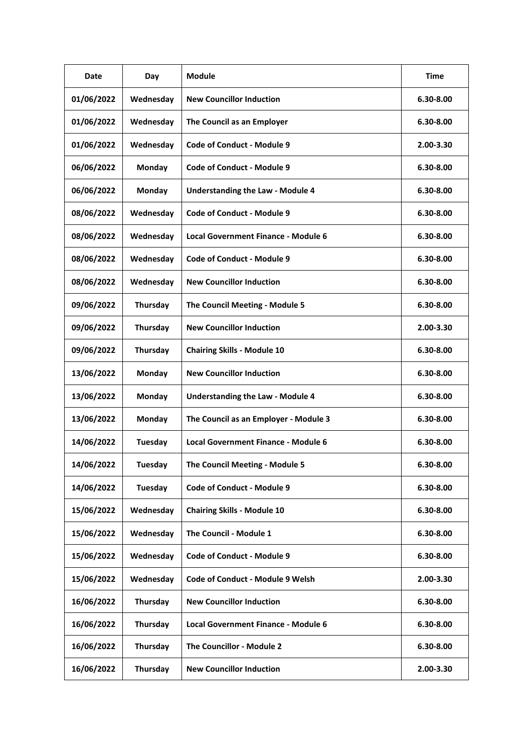| Date       | Day            | <b>Module</b>                              | <b>Time</b> |
|------------|----------------|--------------------------------------------|-------------|
| 01/06/2022 | Wednesday      | <b>New Councillor Induction</b>            | 6.30-8.00   |
| 01/06/2022 | Wednesday      | The Council as an Employer                 | 6.30-8.00   |
| 01/06/2022 | Wednesday      | <b>Code of Conduct - Module 9</b>          | 2.00-3.30   |
| 06/06/2022 | Monday         | <b>Code of Conduct - Module 9</b>          | 6.30-8.00   |
| 06/06/2022 | Monday         | <b>Understanding the Law - Module 4</b>    | 6.30-8.00   |
| 08/06/2022 | Wednesday      | <b>Code of Conduct - Module 9</b>          | 6.30-8.00   |
| 08/06/2022 | Wednesday      | <b>Local Government Finance - Module 6</b> | 6.30-8.00   |
| 08/06/2022 | Wednesday      | Code of Conduct - Module 9                 | 6.30-8.00   |
| 08/06/2022 | Wednesday      | <b>New Councillor Induction</b>            | 6.30-8.00   |
| 09/06/2022 | Thursday       | The Council Meeting - Module 5             | 6.30-8.00   |
| 09/06/2022 | Thursday       | <b>New Councillor Induction</b>            | 2.00-3.30   |
| 09/06/2022 | Thursday       | <b>Chairing Skills - Module 10</b>         | 6.30-8.00   |
| 13/06/2022 | Monday         | <b>New Councillor Induction</b>            | 6.30-8.00   |
| 13/06/2022 | Monday         | <b>Understanding the Law - Module 4</b>    | 6.30-8.00   |
| 13/06/2022 | Monday         | The Council as an Employer - Module 3      | 6.30-8.00   |
| 14/06/2022 | Tuesday        | <b>Local Government Finance - Module 6</b> | 6.30-8.00   |
| 14/06/2022 | <b>Tuesday</b> | The Council Meeting - Module 5             | 6.30-8.00   |
| 14/06/2022 | Tuesday        | <b>Code of Conduct - Module 9</b>          | 6.30-8.00   |
| 15/06/2022 | Wednesday      | <b>Chairing Skills - Module 10</b>         | 6.30-8.00   |
| 15/06/2022 | Wednesday      | The Council - Module 1                     | 6.30-8.00   |
| 15/06/2022 | Wednesday      | <b>Code of Conduct - Module 9</b>          | 6.30-8.00   |
| 15/06/2022 | Wednesday      | <b>Code of Conduct - Module 9 Welsh</b>    | 2.00-3.30   |
| 16/06/2022 | Thursday       | <b>New Councillor Induction</b>            | 6.30-8.00   |
| 16/06/2022 | Thursday       | <b>Local Government Finance - Module 6</b> | 6.30-8.00   |
| 16/06/2022 | Thursday       | The Councillor - Module 2                  | 6.30-8.00   |
| 16/06/2022 | Thursday       | <b>New Councillor Induction</b>            | 2.00-3.30   |